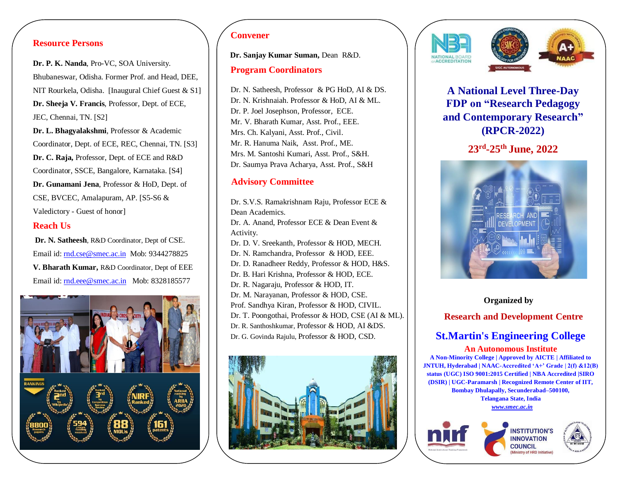## **Resource Persons**

**Dr. P. K. Nanda**, Pro-VC, SOA University. Bhubaneswar, Odisha. Former Prof. and Head, DEE, NIT Rourkela, Odisha. [Inaugural Chief Guest & S1] **Dr. Sheeja V. Francis**, Professor, Dept. of ECE, JEC, Chennai, TN. [S2]

**Dr. L. Bhagyalakshmi**, Professor & Academic Coordinator, Dept. of ECE, REC, Chennai, TN. [S3] **Dr. C. Raja,** Professor, Dept. of ECE and R&D Coordinator, SSCE, Bangalore, Karnataka. [S4] **Dr. Gunamani Jena**, Professor & HoD, Dept. of CSE, BVCEC, Amalapuram, AP. [S5-S6 & Valedictory - Guest of honor]

### **Reach Us**

**Dr. N. Satheesh**, R&D Coordinator, Dept of CSE. Email id: [rnd.cse@smec.ac.in](mailto:rnd.cse@smec.ac.in) Mob: 9344278825 **V. Bharath Kumar,** R&D Coordinator, Dept of EEE Email id: [rnd.eee@smec.ac.in](mailto:rnd.eee@smec.ac.in) Mob: 8328185577



## **Convener**

**Dr. Sanjay Kumar Suman,** Dean R&D.

#### **Program Coordinators**

Dr. N. Satheesh, Professor & PG HoD, AI & DS. Dr. N. Krishnaiah. Professor & HoD, AI & ML. Dr. P. Joel Josephson, Professor, ECE. Mr. V. Bharath Kumar, Asst. Prof., EEE. Mrs. Ch. Kalyani, Asst. Prof., Civil. Mr. R. Hanuma Naik, Asst. Prof., ME. Mrs. M. Santoshi Kumari, Asst. Prof., S&H. Dr. Saumya Prava Acharya, Asst. Prof., S&H

## **Advisory Committee**

Dr. S.V.S. Ramakrishnam Raju, Professor ECE & Dean Academics. Dr. A. Anand, Professor ECE & Dean Event & Activity. Dr. D. V. Sreekanth, Professor & HOD, MECH. Dr. N. Ramchandra, Professor & HOD, EEE. Dr. D. Ranadheer Reddy, Professor & HOD, H&S. Dr. B. Hari Krishna, Professor & HOD, ECE. Dr. R. Nagaraju, Professor & HOD, IT. Dr. M. Narayanan, Professor & HOD, CSE. Prof. Sandhya Kiran, Professor & HOD, CIVIL. Dr. T. Poongothai, Professor & HOD, CSE (AI & ML). Dr. R. Santhoshkumar, Professor & HOD, AI &DS. Dr. G. Govinda Rajulu, Professor & HOD, CSD.





**A National Level Three-Day FDP on "Research Pedagogy and Contemporary Research" (RPCR-2022)**

**23rd -25th June, 2022**



**Research and Development Centre St.Martin's Engineering College An Autonomous Institute A Non-Minority College | Approved by AICTE | Affiliated to JNTUH, Hyderabad | NAAC-Accredited 'A+' Grade | 2(f) &12(B) status (UGC) ISO 9001:2015 Certified | NBA Accredited |SIRO** 

**Organized by**

**(DSIR) | UGC-Paramarsh | Recognized Remote Center of IIT, Bombay Dhulapally, Secunderabad–500100, Telangana State, India** *[www.smec.ac.in](http://www.smec.ac.in/)*

**COUNCIL**